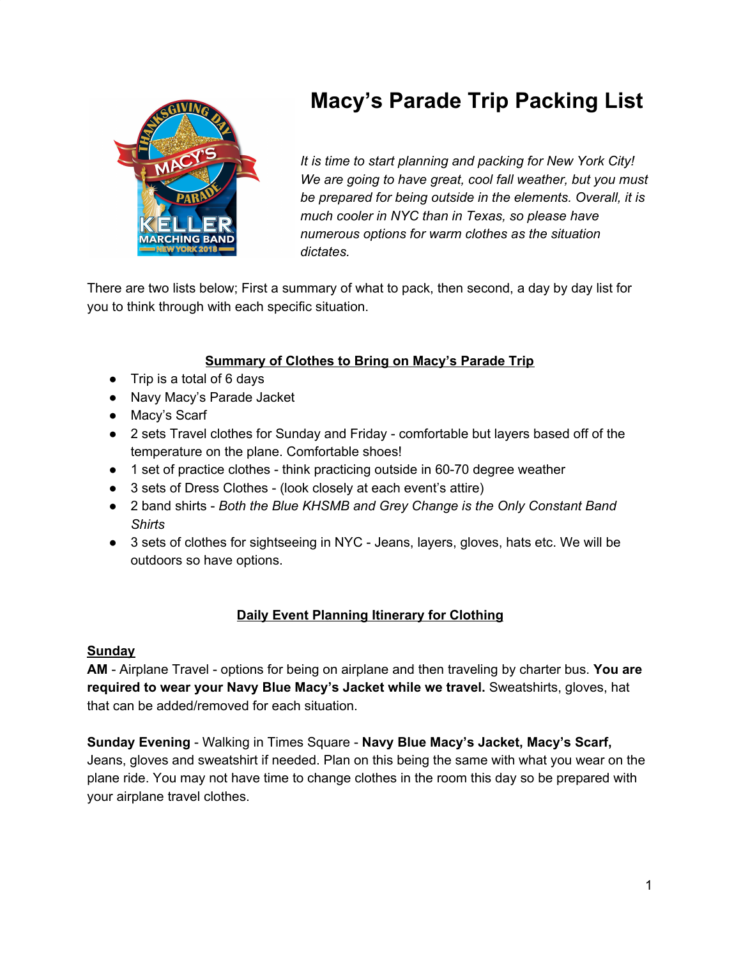# **Macy's Parade Trip Packing List**



*It is time to start planning and packing for New York City! We are going to have great, cool fall weather, but you must be prepared for being outside in the elements. Overall, it is much cooler in NYC than in Texas, so please have numerous options for warm clothes as the situation dictates.*

There are two lists below; First a summary of what to pack, then second, a day by day list for you to think through with each specific situation.

# **Summary of Clothes to Bring on Macy's Parade Trip**

- Trip is a total of 6 days
- Navy Macy's Parade Jacket
- Macy's Scarf
- 2 sets Travel clothes for Sunday and Friday comfortable but layers based off of the temperature on the plane. Comfortable shoes!
- 1 set of practice clothes think practicing outside in 60-70 degree weather
- 3 sets of Dress Clothes (look closely at each event's attire)
- 2 band shirts *Both the Blue KHSMB and Grey Change is the Only Constant Band Shirts*
- 3 sets of clothes for sightseeing in NYC Jeans, layers, gloves, hats etc. We will be outdoors so have options.

# **Daily Event Planning Itinerary for Clothing**

#### **Sunday**

**AM** - Airplane Travel - options for being on airplane and then traveling by charter bus. **You are required to wear your Navy Blue Macy's Jacket while we travel.** Sweatshirts, gloves, hat that can be added/removed for each situation.

**Sunday Evening** - Walking in Times Square - **Navy Blue Macy's Jacket, Macy's Scarf,** Jeans, gloves and sweatshirt if needed. Plan on this being the same with what you wear on the plane ride. You may not have time to change clothes in the room this day so be prepared with your airplane travel clothes.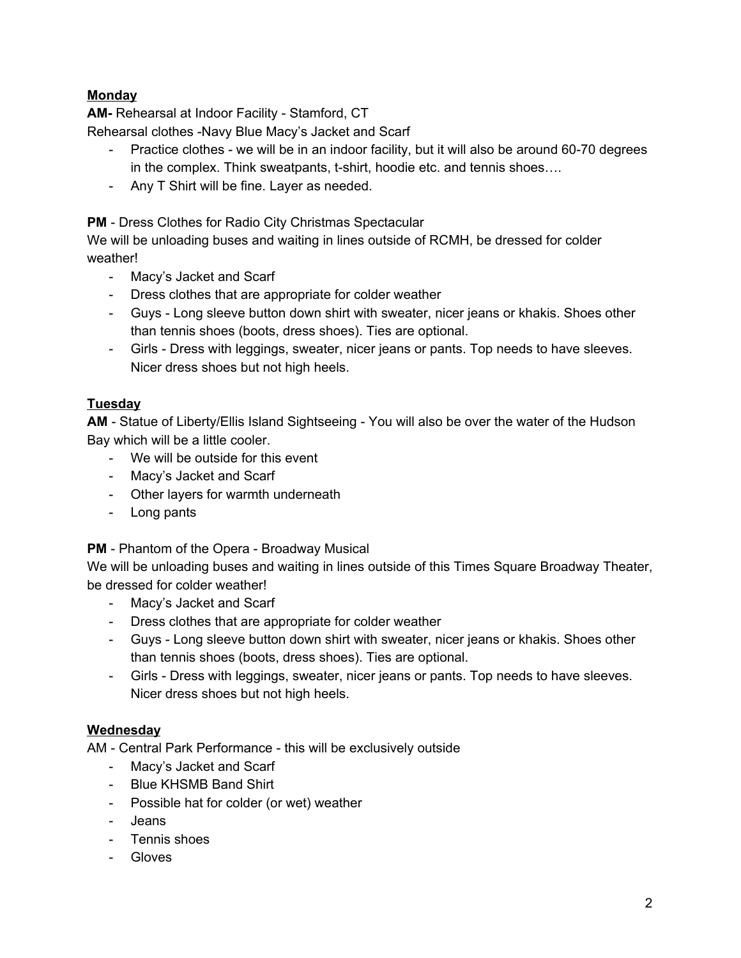## **Monday**

**AM-** Rehearsal at Indoor Facility - Stamford, CT

Rehearsal clothes -Navy Blue Macy's Jacket and Scarf

- Practice clothes we will be in an indoor facility, but it will also be around 60-70 degrees in the complex. Think sweatpants, t-shirt, hoodie etc. and tennis shoes….
- Any T Shirt will be fine. Layer as needed.

**PM** - Dress Clothes for Radio City Christmas Spectacular

We will be unloading buses and waiting in lines outside of RCMH, be dressed for colder weather!

- Macy's Jacket and Scarf
- Dress clothes that are appropriate for colder weather
- Guys Long sleeve button down shirt with sweater, nicer jeans or khakis. Shoes other than tennis shoes (boots, dress shoes). Ties are optional.
- Girls Dress with leggings, sweater, nicer jeans or pants. Top needs to have sleeves. Nicer dress shoes but not high heels.

#### **Tuesday**

**AM** - Statue of Liberty/Ellis Island Sightseeing - You will also be over the water of the Hudson Bay which will be a little cooler.

- We will be outside for this event
- Macy's Jacket and Scarf
- Other layers for warmth underneath
- Long pants

#### **PM** - Phantom of the Opera - Broadway Musical

We will be unloading buses and waiting in lines outside of this Times Square Broadway Theater, be dressed for colder weather!

- Macy's Jacket and Scarf
- Dress clothes that are appropriate for colder weather
- Guys Long sleeve button down shirt with sweater, nicer jeans or khakis. Shoes other than tennis shoes (boots, dress shoes). Ties are optional.
- Girls Dress with leggings, sweater, nicer jeans or pants. Top needs to have sleeves. Nicer dress shoes but not high heels.

#### **Wednesday**

AM - Central Park Performance - this will be exclusively outside

- Macy's Jacket and Scarf
- Blue KHSMB Band Shirt
- Possible hat for colder (or wet) weather
- Jeans
- Tennis shoes
- Gloves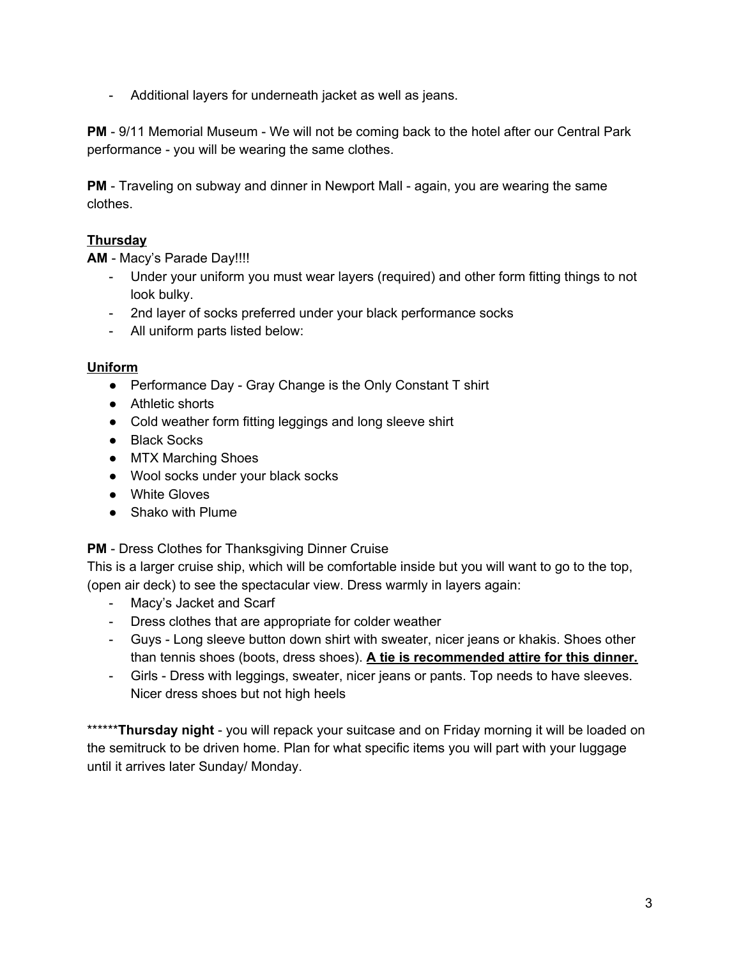- Additional layers for underneath jacket as well as jeans.

**PM** - 9/11 Memorial Museum - We will not be coming back to the hotel after our Central Park performance - you will be wearing the same clothes.

**PM** - Traveling on subway and dinner in Newport Mall - again, you are wearing the same clothes.

### **Thursday**

**AM** - Macy's Parade Day!!!!

- Under your uniform you must wear layers (required) and other form fitting things to not look bulky.
- 2nd layer of socks preferred under your black performance socks
- All uniform parts listed below:

#### **Uniform**

- Performance Day Gray Change is the Only Constant T shirt
- Athletic shorts
- Cold weather form fitting leggings and long sleeve shirt
- Black Socks
- MTX Marching Shoes
- Wool socks under your black socks
- White Gloves
- Shako with Plume

#### **PM** - Dress Clothes for Thanksgiving Dinner Cruise

This is a larger cruise ship, which will be comfortable inside but you will want to go to the top, (open air deck) to see the spectacular view. Dress warmly in layers again:

- Macy's Jacket and Scarf
- Dress clothes that are appropriate for colder weather
- Guys Long sleeve button down shirt with sweater, nicer jeans or khakis. Shoes other than tennis shoes (boots, dress shoes). **A tie is recommended attire for this dinner.**
- Girls Dress with leggings, sweater, nicer jeans or pants. Top needs to have sleeves. Nicer dress shoes but not high heels

\*\*\*\*\*\***Thursday night** - you will repack your suitcase and on Friday morning it will be loaded on the semitruck to be driven home. Plan for what specific items you will part with your luggage until it arrives later Sunday/ Monday.